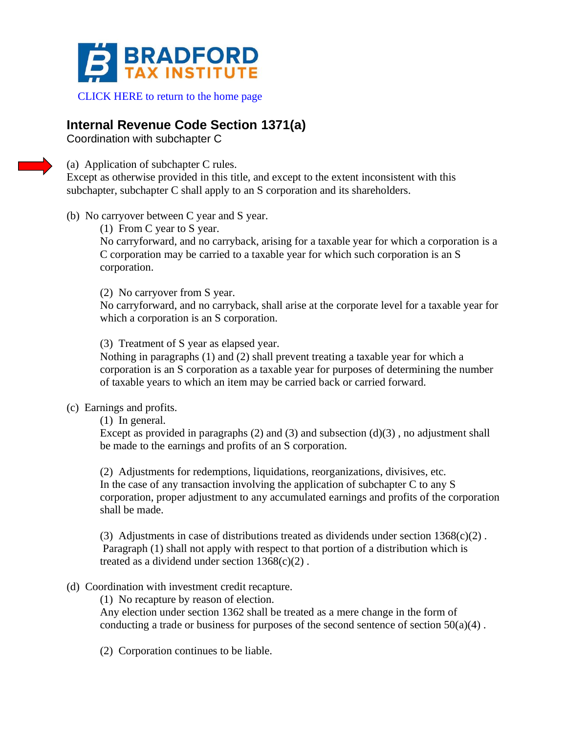

## [CLICK HERE to return to the home page](http://www.bradfortaxinstitute.com)

## **Internal Revenue Code Section 1371(a)**

Coordination with subchapter C

(a) Application of subchapter C rules.

Except as otherwise provided in this title, and except to the extent inconsistent with this subchapter, subchapter C shall apply to an S corporation and its shareholders.

- (b) No carryover between C year and S year.
	- (1) From C year to S year.

No carryforward, and no carryback, arising for a taxable year for which a corporation is a C corporation may be carried to a taxable year for which such corporation is an S corporation.

(2) No carryover from S year.

No carryforward, and no carryback, shall arise at the corporate level for a taxable year for which a corporation is an S corporation.

(3) Treatment of S year as elapsed year.

Nothing in paragraphs (1) and (2) shall prevent treating a taxable year for which a corporation is an S corporation as a taxable year for purposes of determining the number of taxable years to which an item may be carried back or carried forward.

## (c) Earnings and profits.

(1) In general.

Except as provided in paragraphs  $(2)$  and  $(3)$  and subsection  $(d)(3)$ , no adjustment shall be made to the earnings and profits of an S corporation.

(2) Adjustments for redemptions, liquidations, reorganizations, divisives, etc. In the case of any transaction involving the application of subchapter C to any S corporation, proper adjustment to any accumulated earnings and profits of the corporation shall be made.

(3) Adjustments in case of distributions treated as dividends under section  $1368(c)(2)$ . Paragraph (1) shall not apply with respect to that portion of a distribution which is treated as a dividend under section  $1368(c)(2)$ .

## (d) Coordination with investment credit recapture.

(1) No recapture by reason of election.

Any election under section 1362 shall be treated as a mere change in the form of conducting a trade or business for purposes of the second sentence of section  $50(a)(4)$ .

(2) Corporation continues to be liable.